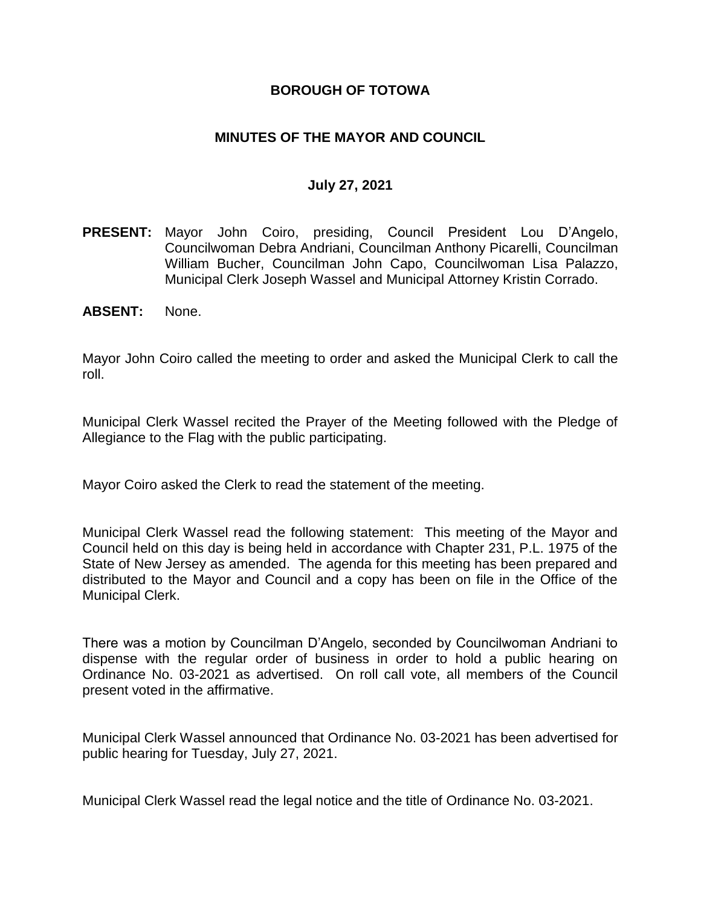### **BOROUGH OF TOTOWA**

### **MINUTES OF THE MAYOR AND COUNCIL**

#### **July 27, 2021**

- **PRESENT:** Mayor John Coiro, presiding, Council President Lou D'Angelo, Councilwoman Debra Andriani, Councilman Anthony Picarelli, Councilman William Bucher, Councilman John Capo, Councilwoman Lisa Palazzo, Municipal Clerk Joseph Wassel and Municipal Attorney Kristin Corrado.
- **ABSENT:** None.

Mayor John Coiro called the meeting to order and asked the Municipal Clerk to call the roll.

Municipal Clerk Wassel recited the Prayer of the Meeting followed with the Pledge of Allegiance to the Flag with the public participating.

Mayor Coiro asked the Clerk to read the statement of the meeting.

Municipal Clerk Wassel read the following statement: This meeting of the Mayor and Council held on this day is being held in accordance with Chapter 231, P.L. 1975 of the State of New Jersey as amended. The agenda for this meeting has been prepared and distributed to the Mayor and Council and a copy has been on file in the Office of the Municipal Clerk.

There was a motion by Councilman D'Angelo, seconded by Councilwoman Andriani to dispense with the regular order of business in order to hold a public hearing on Ordinance No. 03-2021 as advertised. On roll call vote, all members of the Council present voted in the affirmative.

Municipal Clerk Wassel announced that Ordinance No. 03-2021 has been advertised for public hearing for Tuesday, July 27, 2021.

Municipal Clerk Wassel read the legal notice and the title of Ordinance No. 03-2021.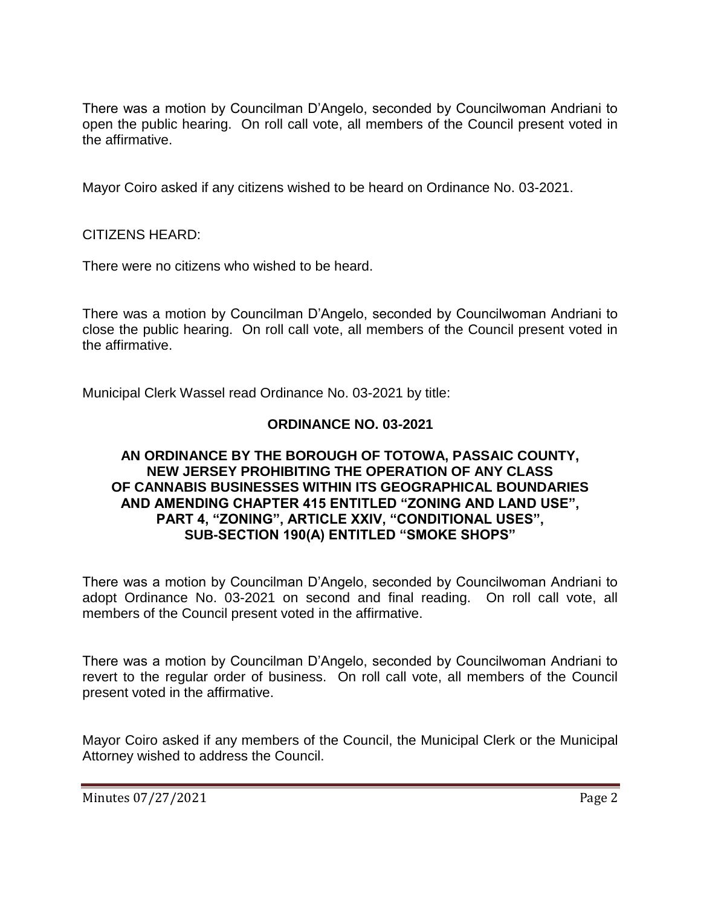There was a motion by Councilman D'Angelo, seconded by Councilwoman Andriani to open the public hearing. On roll call vote, all members of the Council present voted in the affirmative.

Mayor Coiro asked if any citizens wished to be heard on Ordinance No. 03-2021.

CITIZENS HEARD:

There were no citizens who wished to be heard.

There was a motion by Councilman D'Angelo, seconded by Councilwoman Andriani to close the public hearing. On roll call vote, all members of the Council present voted in the affirmative.

Municipal Clerk Wassel read Ordinance No. 03-2021 by title:

# **ORDINANCE NO. 03-2021**

#### **AN ORDINANCE BY THE BOROUGH OF TOTOWA, PASSAIC COUNTY, NEW JERSEY PROHIBITING THE OPERATION OF ANY CLASS OF CANNABIS BUSINESSES WITHIN ITS GEOGRAPHICAL BOUNDARIES AND AMENDING CHAPTER 415 ENTITLED "ZONING AND LAND USE", PART 4, "ZONING", ARTICLE XXIV, "CONDITIONAL USES", SUB-SECTION 190(A) ENTITLED "SMOKE SHOPS"**

There was a motion by Councilman D'Angelo, seconded by Councilwoman Andriani to adopt Ordinance No. 03-2021 on second and final reading. On roll call vote, all members of the Council present voted in the affirmative.

There was a motion by Councilman D'Angelo, seconded by Councilwoman Andriani to revert to the regular order of business. On roll call vote, all members of the Council present voted in the affirmative.

Mayor Coiro asked if any members of the Council, the Municipal Clerk or the Municipal Attorney wished to address the Council.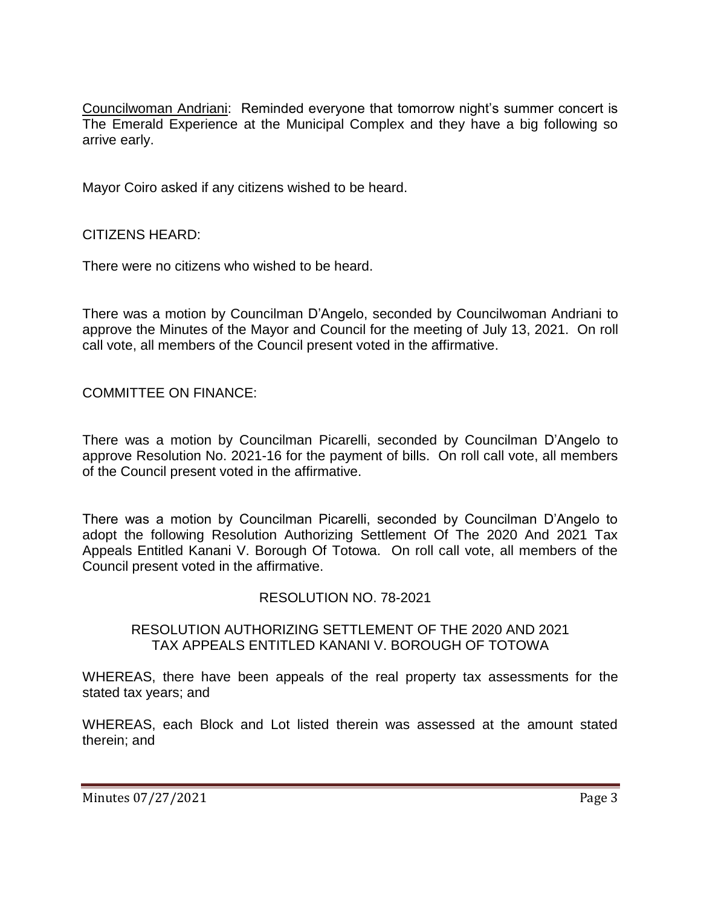Councilwoman Andriani: Reminded everyone that tomorrow night's summer concert is The Emerald Experience at the Municipal Complex and they have a big following so arrive early.

Mayor Coiro asked if any citizens wished to be heard.

CITIZENS HEARD:

There were no citizens who wished to be heard.

There was a motion by Councilman D'Angelo, seconded by Councilwoman Andriani to approve the Minutes of the Mayor and Council for the meeting of July 13, 2021. On roll call vote, all members of the Council present voted in the affirmative.

COMMITTEE ON FINANCE:

There was a motion by Councilman Picarelli, seconded by Councilman D'Angelo to approve Resolution No. 2021-16 for the payment of bills. On roll call vote, all members of the Council present voted in the affirmative.

There was a motion by Councilman Picarelli, seconded by Councilman D'Angelo to adopt the following Resolution Authorizing Settlement Of The 2020 And 2021 Tax Appeals Entitled Kanani V. Borough Of Totowa. On roll call vote, all members of the Council present voted in the affirmative.

#### RESOLUTION NO. 78-2021

#### RESOLUTION AUTHORIZING SETTLEMENT OF THE 2020 AND 2021 TAX APPEALS ENTITLED KANANI V. BOROUGH OF TOTOWA

WHEREAS, there have been appeals of the real property tax assessments for the stated tax years; and

WHEREAS, each Block and Lot listed therein was assessed at the amount stated therein; and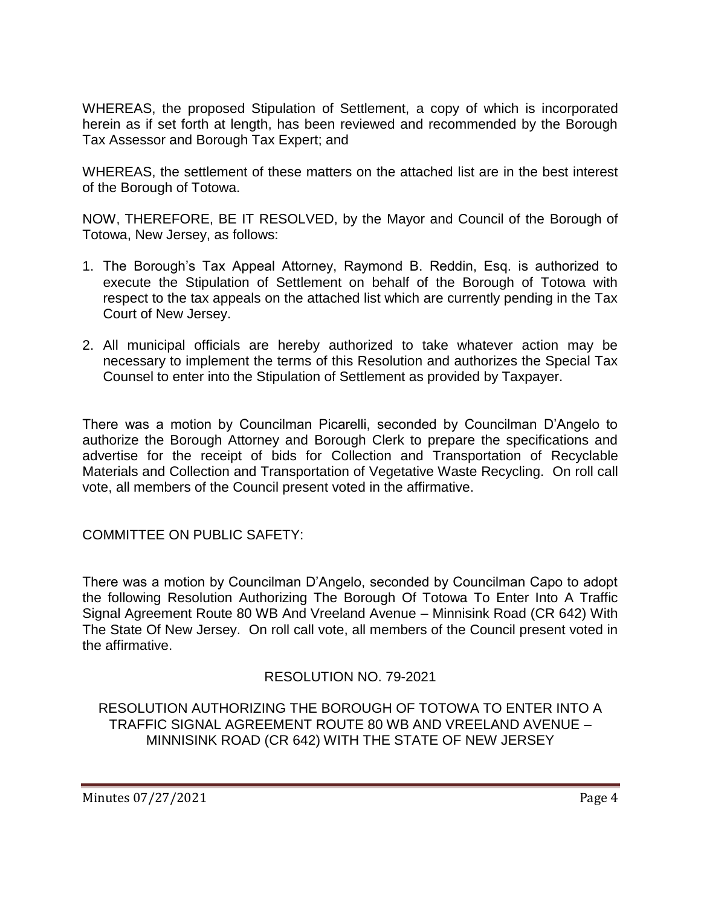WHEREAS, the proposed Stipulation of Settlement, a copy of which is incorporated herein as if set forth at length, has been reviewed and recommended by the Borough Tax Assessor and Borough Tax Expert; and

WHEREAS, the settlement of these matters on the attached list are in the best interest of the Borough of Totowa.

NOW, THEREFORE, BE IT RESOLVED, by the Mayor and Council of the Borough of Totowa, New Jersey, as follows:

- 1. The Borough's Tax Appeal Attorney, Raymond B. Reddin, Esq. is authorized to execute the Stipulation of Settlement on behalf of the Borough of Totowa with respect to the tax appeals on the attached list which are currently pending in the Tax Court of New Jersey.
- 2. All municipal officials are hereby authorized to take whatever action may be necessary to implement the terms of this Resolution and authorizes the Special Tax Counsel to enter into the Stipulation of Settlement as provided by Taxpayer.

There was a motion by Councilman Picarelli, seconded by Councilman D'Angelo to authorize the Borough Attorney and Borough Clerk to prepare the specifications and advertise for the receipt of bids for Collection and Transportation of Recyclable Materials and Collection and Transportation of Vegetative Waste Recycling. On roll call vote, all members of the Council present voted in the affirmative.

COMMITTEE ON PUBLIC SAFETY:

There was a motion by Councilman D'Angelo, seconded by Councilman Capo to adopt the following Resolution Authorizing The Borough Of Totowa To Enter Into A Traffic Signal Agreement Route 80 WB And Vreeland Avenue – Minnisink Road (CR 642) With The State Of New Jersey. On roll call vote, all members of the Council present voted in the affirmative.

# RESOLUTION NO. 79-2021

RESOLUTION AUTHORIZING THE BOROUGH OF TOTOWA TO ENTER INTO A TRAFFIC SIGNAL AGREEMENT ROUTE 80 WB AND VREELAND AVENUE – MINNISINK ROAD (CR 642) WITH THE STATE OF NEW JERSEY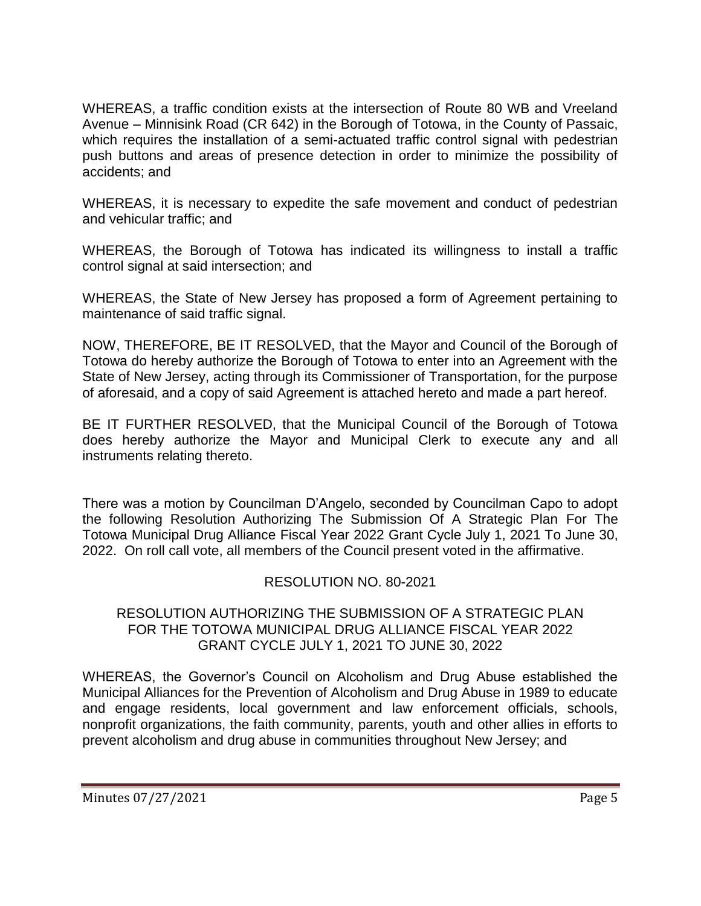WHEREAS, a traffic condition exists at the intersection of Route 80 WB and Vreeland Avenue – Minnisink Road (CR 642) in the Borough of Totowa, in the County of Passaic, which requires the installation of a semi-actuated traffic control signal with pedestrian push buttons and areas of presence detection in order to minimize the possibility of accidents; and

WHEREAS, it is necessary to expedite the safe movement and conduct of pedestrian and vehicular traffic; and

WHEREAS, the Borough of Totowa has indicated its willingness to install a traffic control signal at said intersection; and

WHEREAS, the State of New Jersey has proposed a form of Agreement pertaining to maintenance of said traffic signal.

NOW, THEREFORE, BE IT RESOLVED, that the Mayor and Council of the Borough of Totowa do hereby authorize the Borough of Totowa to enter into an Agreement with the State of New Jersey, acting through its Commissioner of Transportation, for the purpose of aforesaid, and a copy of said Agreement is attached hereto and made a part hereof.

BE IT FURTHER RESOLVED, that the Municipal Council of the Borough of Totowa does hereby authorize the Mayor and Municipal Clerk to execute any and all instruments relating thereto.

There was a motion by Councilman D'Angelo, seconded by Councilman Capo to adopt the following Resolution Authorizing The Submission Of A Strategic Plan For The Totowa Municipal Drug Alliance Fiscal Year 2022 Grant Cycle July 1, 2021 To June 30, 2022. On roll call vote, all members of the Council present voted in the affirmative.

# RESOLUTION NO. 80-2021

### RESOLUTION AUTHORIZING THE SUBMISSION OF A STRATEGIC PLAN FOR THE TOTOWA MUNICIPAL DRUG ALLIANCE FISCAL YEAR 2022 GRANT CYCLE JULY 1, 2021 TO JUNE 30, 2022

WHEREAS, the Governor's Council on Alcoholism and Drug Abuse established the Municipal Alliances for the Prevention of Alcoholism and Drug Abuse in 1989 to educate and engage residents, local government and law enforcement officials, schools, nonprofit organizations, the faith community, parents, youth and other allies in efforts to prevent alcoholism and drug abuse in communities throughout New Jersey; and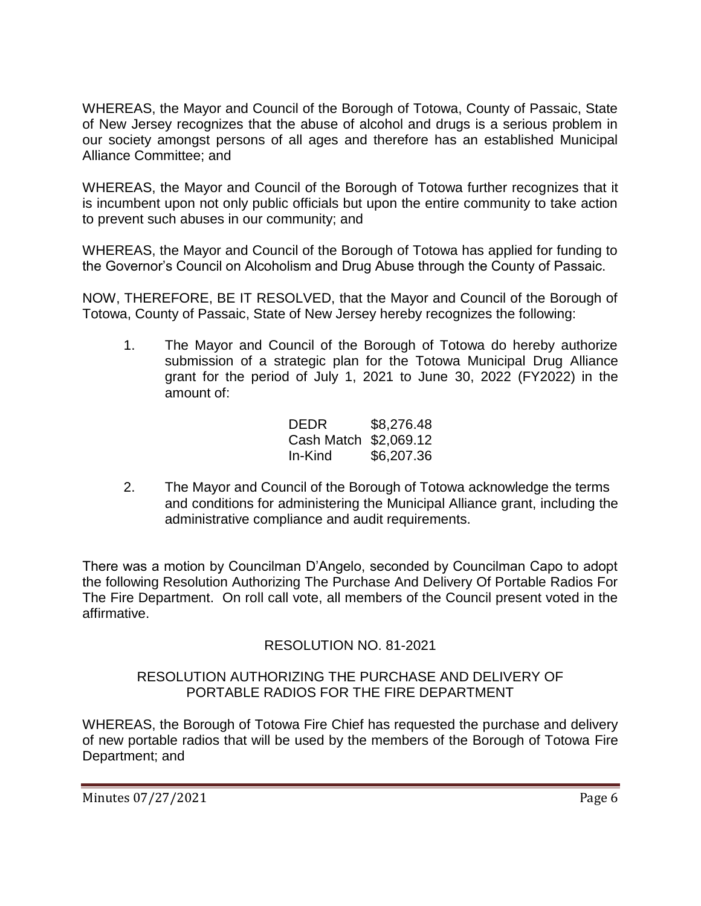WHEREAS, the Mayor and Council of the Borough of Totowa, County of Passaic, State of New Jersey recognizes that the abuse of alcohol and drugs is a serious problem in our society amongst persons of all ages and therefore has an established Municipal Alliance Committee; and

WHEREAS, the Mayor and Council of the Borough of Totowa further recognizes that it is incumbent upon not only public officials but upon the entire community to take action to prevent such abuses in our community; and

WHEREAS, the Mayor and Council of the Borough of Totowa has applied for funding to the Governor's Council on Alcoholism and Drug Abuse through the County of Passaic.

NOW, THEREFORE, BE IT RESOLVED, that the Mayor and Council of the Borough of Totowa, County of Passaic, State of New Jersey hereby recognizes the following:

1. The Mayor and Council of the Borough of Totowa do hereby authorize submission of a strategic plan for the Totowa Municipal Drug Alliance grant for the period of July 1, 2021 to June 30, 2022 (FY2022) in the amount of:

| DEDR                  | \$8,276.48 |
|-----------------------|------------|
| Cash Match \$2,069.12 |            |
| In-Kind               | \$6,207.36 |

2. The Mayor and Council of the Borough of Totowa acknowledge the terms and conditions for administering the Municipal Alliance grant, including the administrative compliance and audit requirements.

There was a motion by Councilman D'Angelo, seconded by Councilman Capo to adopt the following Resolution Authorizing The Purchase And Delivery Of Portable Radios For The Fire Department. On roll call vote, all members of the Council present voted in the affirmative.

# RESOLUTION NO. 81-2021

### RESOLUTION AUTHORIZING THE PURCHASE AND DELIVERY OF PORTABLE RADIOS FOR THE FIRE DEPARTMENT

WHEREAS, the Borough of Totowa Fire Chief has requested the purchase and delivery of new portable radios that will be used by the members of the Borough of Totowa Fire Department; and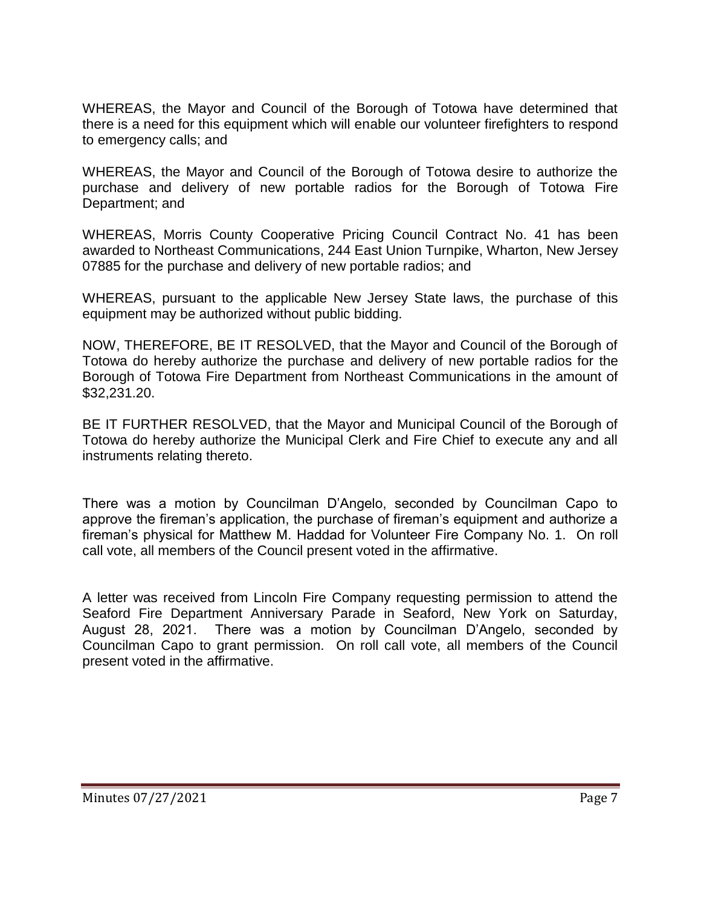WHEREAS, the Mayor and Council of the Borough of Totowa have determined that there is a need for this equipment which will enable our volunteer firefighters to respond to emergency calls; and

WHEREAS, the Mayor and Council of the Borough of Totowa desire to authorize the purchase and delivery of new portable radios for the Borough of Totowa Fire Department; and

WHEREAS, Morris County Cooperative Pricing Council Contract No. 41 has been awarded to Northeast Communications, 244 East Union Turnpike, Wharton, New Jersey 07885 for the purchase and delivery of new portable radios; and

WHEREAS, pursuant to the applicable New Jersey State laws, the purchase of this equipment may be authorized without public bidding.

NOW, THEREFORE, BE IT RESOLVED, that the Mayor and Council of the Borough of Totowa do hereby authorize the purchase and delivery of new portable radios for the Borough of Totowa Fire Department from Northeast Communications in the amount of \$32,231.20.

BE IT FURTHER RESOLVED, that the Mayor and Municipal Council of the Borough of Totowa do hereby authorize the Municipal Clerk and Fire Chief to execute any and all instruments relating thereto.

There was a motion by Councilman D'Angelo, seconded by Councilman Capo to approve the fireman's application, the purchase of fireman's equipment and authorize a fireman's physical for Matthew M. Haddad for Volunteer Fire Company No. 1. On roll call vote, all members of the Council present voted in the affirmative.

A letter was received from Lincoln Fire Company requesting permission to attend the Seaford Fire Department Anniversary Parade in Seaford, New York on Saturday, August 28, 2021. There was a motion by Councilman D'Angelo, seconded by Councilman Capo to grant permission. On roll call vote, all members of the Council present voted in the affirmative.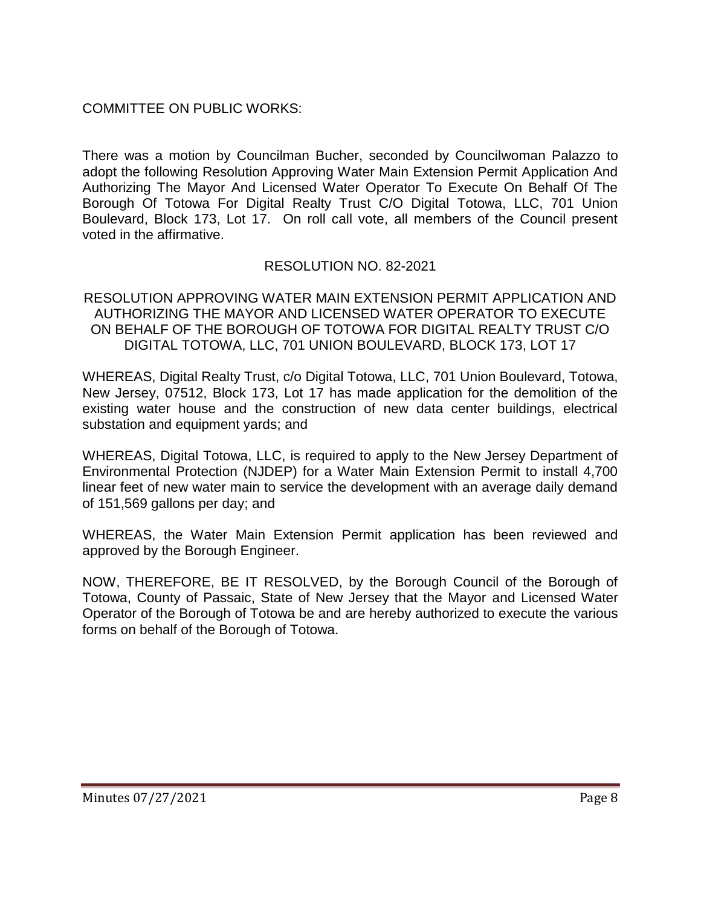# COMMITTEE ON PUBLIC WORKS:

There was a motion by Councilman Bucher, seconded by Councilwoman Palazzo to adopt the following Resolution Approving Water Main Extension Permit Application And Authorizing The Mayor And Licensed Water Operator To Execute On Behalf Of The Borough Of Totowa For Digital Realty Trust C/O Digital Totowa, LLC, 701 Union Boulevard, Block 173, Lot 17. On roll call vote, all members of the Council present voted in the affirmative.

# RESOLUTION NO. 82-2021

RESOLUTION APPROVING WATER MAIN EXTENSION PERMIT APPLICATION AND AUTHORIZING THE MAYOR AND LICENSED WATER OPERATOR TO EXECUTE ON BEHALF OF THE BOROUGH OF TOTOWA FOR DIGITAL REALTY TRUST C/O DIGITAL TOTOWA, LLC, 701 UNION BOULEVARD, BLOCK 173, LOT 17

WHEREAS, Digital Realty Trust, c/o Digital Totowa, LLC, 701 Union Boulevard, Totowa, New Jersey, 07512, Block 173, Lot 17 has made application for the demolition of the existing water house and the construction of new data center buildings, electrical substation and equipment yards; and

WHEREAS, Digital Totowa, LLC, is required to apply to the New Jersey Department of Environmental Protection (NJDEP) for a Water Main Extension Permit to install 4,700 linear feet of new water main to service the development with an average daily demand of 151,569 gallons per day; and

WHEREAS, the Water Main Extension Permit application has been reviewed and approved by the Borough Engineer.

NOW, THEREFORE, BE IT RESOLVED, by the Borough Council of the Borough of Totowa, County of Passaic, State of New Jersey that the Mayor and Licensed Water Operator of the Borough of Totowa be and are hereby authorized to execute the various forms on behalf of the Borough of Totowa.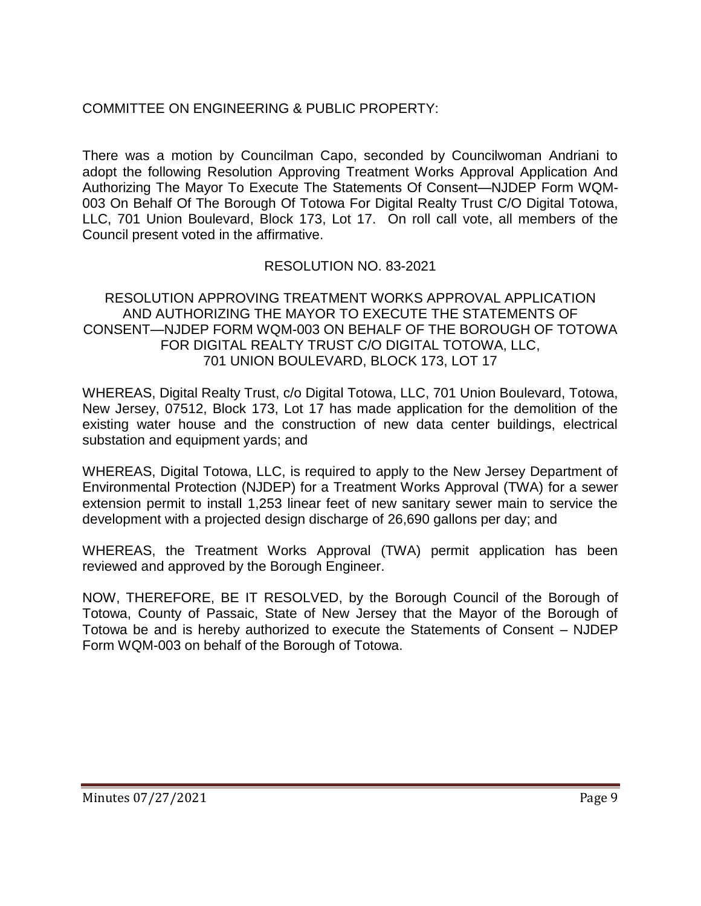# COMMITTEE ON ENGINEERING & PUBLIC PROPERTY:

There was a motion by Councilman Capo, seconded by Councilwoman Andriani to adopt the following Resolution Approving Treatment Works Approval Application And Authorizing The Mayor To Execute The Statements Of Consent—NJDEP Form WQM-003 On Behalf Of The Borough Of Totowa For Digital Realty Trust C/O Digital Totowa, LLC, 701 Union Boulevard, Block 173, Lot 17. On roll call vote, all members of the Council present voted in the affirmative.

# RESOLUTION NO. 83-2021

#### RESOLUTION APPROVING TREATMENT WORKS APPROVAL APPLICATION AND AUTHORIZING THE MAYOR TO EXECUTE THE STATEMENTS OF CONSENT—NJDEP FORM WQM-003 ON BEHALF OF THE BOROUGH OF TOTOWA FOR DIGITAL REALTY TRUST C/O DIGITAL TOTOWA, LLC, 701 UNION BOULEVARD, BLOCK 173, LOT 17

WHEREAS, Digital Realty Trust, c/o Digital Totowa, LLC, 701 Union Boulevard, Totowa, New Jersey, 07512, Block 173, Lot 17 has made application for the demolition of the existing water house and the construction of new data center buildings, electrical substation and equipment yards; and

WHEREAS, Digital Totowa, LLC, is required to apply to the New Jersey Department of Environmental Protection (NJDEP) for a Treatment Works Approval (TWA) for a sewer extension permit to install 1,253 linear feet of new sanitary sewer main to service the development with a projected design discharge of 26,690 gallons per day; and

WHEREAS, the Treatment Works Approval (TWA) permit application has been reviewed and approved by the Borough Engineer.

NOW, THEREFORE, BE IT RESOLVED, by the Borough Council of the Borough of Totowa, County of Passaic, State of New Jersey that the Mayor of the Borough of Totowa be and is hereby authorized to execute the Statements of Consent – NJDEP Form WQM-003 on behalf of the Borough of Totowa.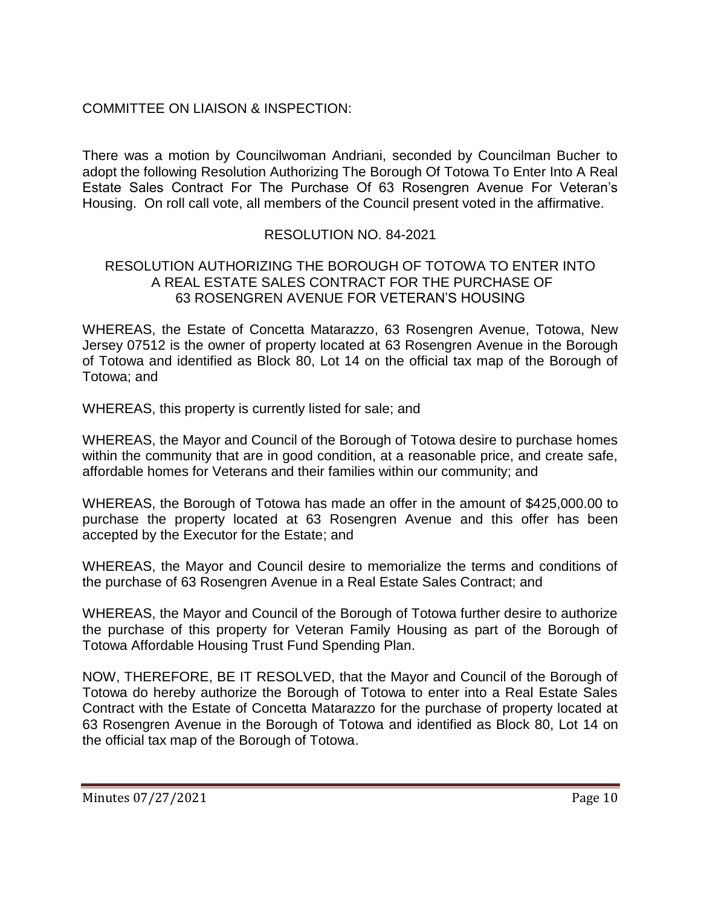# COMMITTEE ON LIAISON & INSPECTION:

There was a motion by Councilwoman Andriani, seconded by Councilman Bucher to adopt the following Resolution Authorizing The Borough Of Totowa To Enter Into A Real Estate Sales Contract For The Purchase Of 63 Rosengren Avenue For Veteran's Housing. On roll call vote, all members of the Council present voted in the affirmative.

### RESOLUTION NO. 84-2021

#### RESOLUTION AUTHORIZING THE BOROUGH OF TOTOWA TO ENTER INTO A REAL ESTATE SALES CONTRACT FOR THE PURCHASE OF 63 ROSENGREN AVENUE FOR VETERAN'S HOUSING

WHEREAS, the Estate of Concetta Matarazzo, 63 Rosengren Avenue, Totowa, New Jersey 07512 is the owner of property located at 63 Rosengren Avenue in the Borough of Totowa and identified as Block 80, Lot 14 on the official tax map of the Borough of Totowa; and

WHEREAS, this property is currently listed for sale; and

WHEREAS, the Mayor and Council of the Borough of Totowa desire to purchase homes within the community that are in good condition, at a reasonable price, and create safe, affordable homes for Veterans and their families within our community; and

WHEREAS, the Borough of Totowa has made an offer in the amount of \$425,000.00 to purchase the property located at 63 Rosengren Avenue and this offer has been accepted by the Executor for the Estate; and

WHEREAS, the Mayor and Council desire to memorialize the terms and conditions of the purchase of 63 Rosengren Avenue in a Real Estate Sales Contract; and

WHEREAS, the Mayor and Council of the Borough of Totowa further desire to authorize the purchase of this property for Veteran Family Housing as part of the Borough of Totowa Affordable Housing Trust Fund Spending Plan.

NOW, THEREFORE, BE IT RESOLVED, that the Mayor and Council of the Borough of Totowa do hereby authorize the Borough of Totowa to enter into a Real Estate Sales Contract with the Estate of Concetta Matarazzo for the purchase of property located at 63 Rosengren Avenue in the Borough of Totowa and identified as Block 80, Lot 14 on the official tax map of the Borough of Totowa.